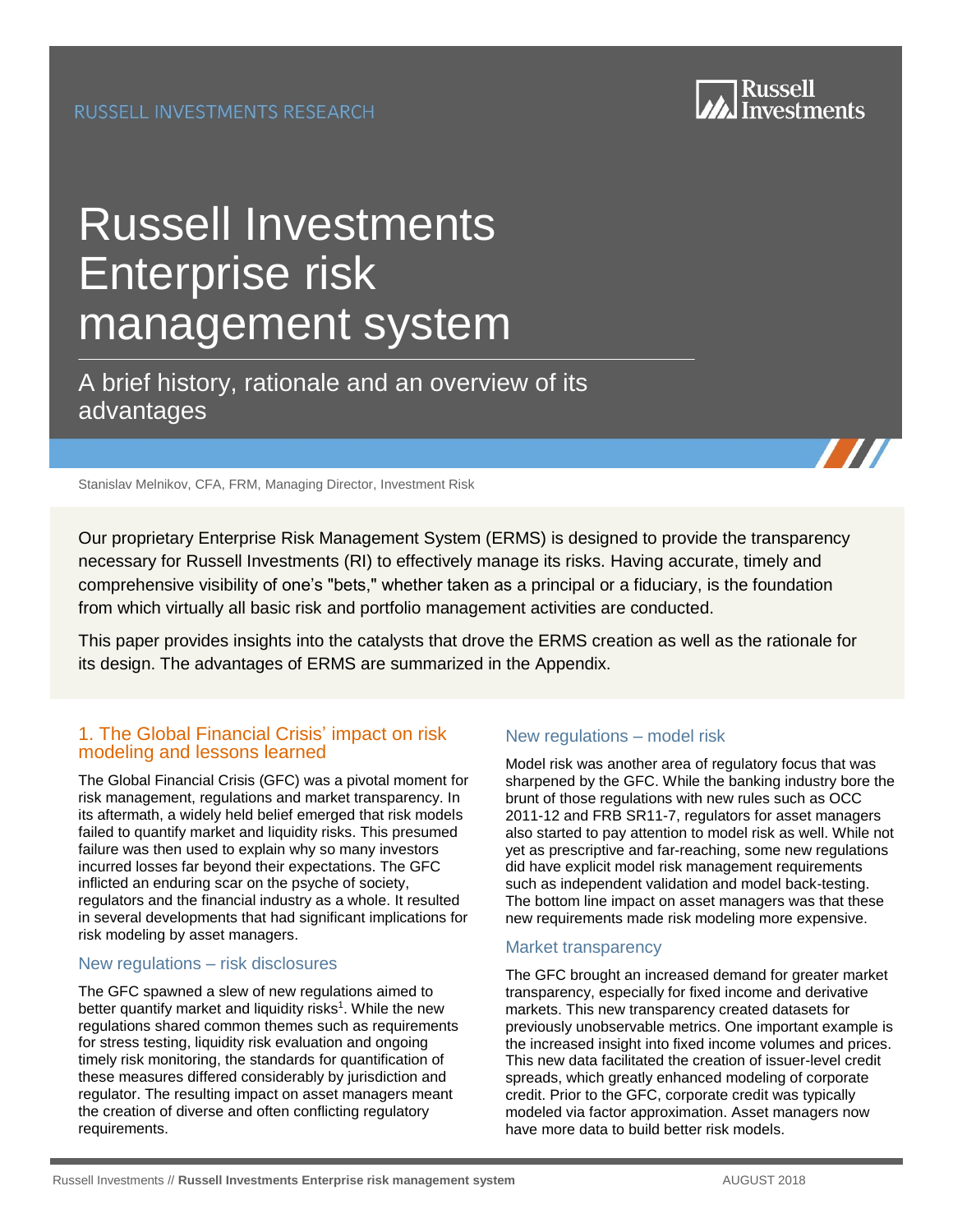

# Russell Investments Enterprise risk [management system](https://russellinvestments.com/us/solutions/institutions/?utm_source=PDF&utm_medium=direct)

A brief history, rationale and an overview of its advantages

Stanislav Melnikov, CFA, FRM, Managing Director, Investment Risk

Our proprietary Enterprise Risk Management System (ERMS) is designed to provide the transparency necessary for Russell Investments (RI) to effectively manage its risks. Having accurate, timely and comprehensive visibility of one's "bets," whether taken as a principal or a fiduciary, is the foundation from which virtually all basic risk and portfolio management activities are conducted.

This paper provides insights into the catalysts that drove the ERMS creation as well as the rationale for its design. The advantages of ERMS are summarized in the Appendix.

## 1. The Global Financial Crisis' impact on risk modeling and lessons learned

The Global Financial Crisis (GFC) was a pivotal moment for risk management, regulations and market transparency. In its aftermath, a widely held belief emerged that risk models failed to quantify market and liquidity risks. This presumed failure was then used to explain why so many investors incurred losses far beyond their expectations. The GFC inflicted an enduring scar on the psyche of society, regulators and the financial industry as a whole. It resulted in several developments that had significant implications for risk modeling by asset managers.

#### New regulations – risk disclosures

The GFC spawned a slew of new regulations aimed to better quantify market and liquidity risks<sup>1</sup>. While the new regulations shared common themes such as requirements for stress testing, liquidity risk evaluation and ongoing timely risk monitoring, the standards for quantification of these measures differed considerably by jurisdiction and regulator. The resulting impact on asset managers meant the creation of diverse and often conflicting regulatory requirements.

## New regulations – model risk

Model risk was another area of regulatory focus that was sharpened by the GFC. While the banking industry bore the brunt of those regulations with new rules such as OCC 2011-12 and FRB SR11-7, regulators for asset managers also started to pay attention to model risk as well. While not yet as prescriptive and far-reaching, some new regulations did have explicit model risk management requirements such as independent validation and model back-testing. The bottom line impact on asset managers was that these new requirements made risk modeling more expensive.

#### Market transparency

The GFC brought an increased demand for greater market transparency, especially for fixed income and derivative markets. This new transparency created datasets for previously unobservable metrics. One important example is the increased insight into fixed income volumes and prices. This new data facilitated the creation of issuer-level credit spreads, which greatly enhanced modeling of corporate credit. Prior to the GFC, corporate credit was typically modeled via factor approximation. Asset managers now have more data to build better risk models.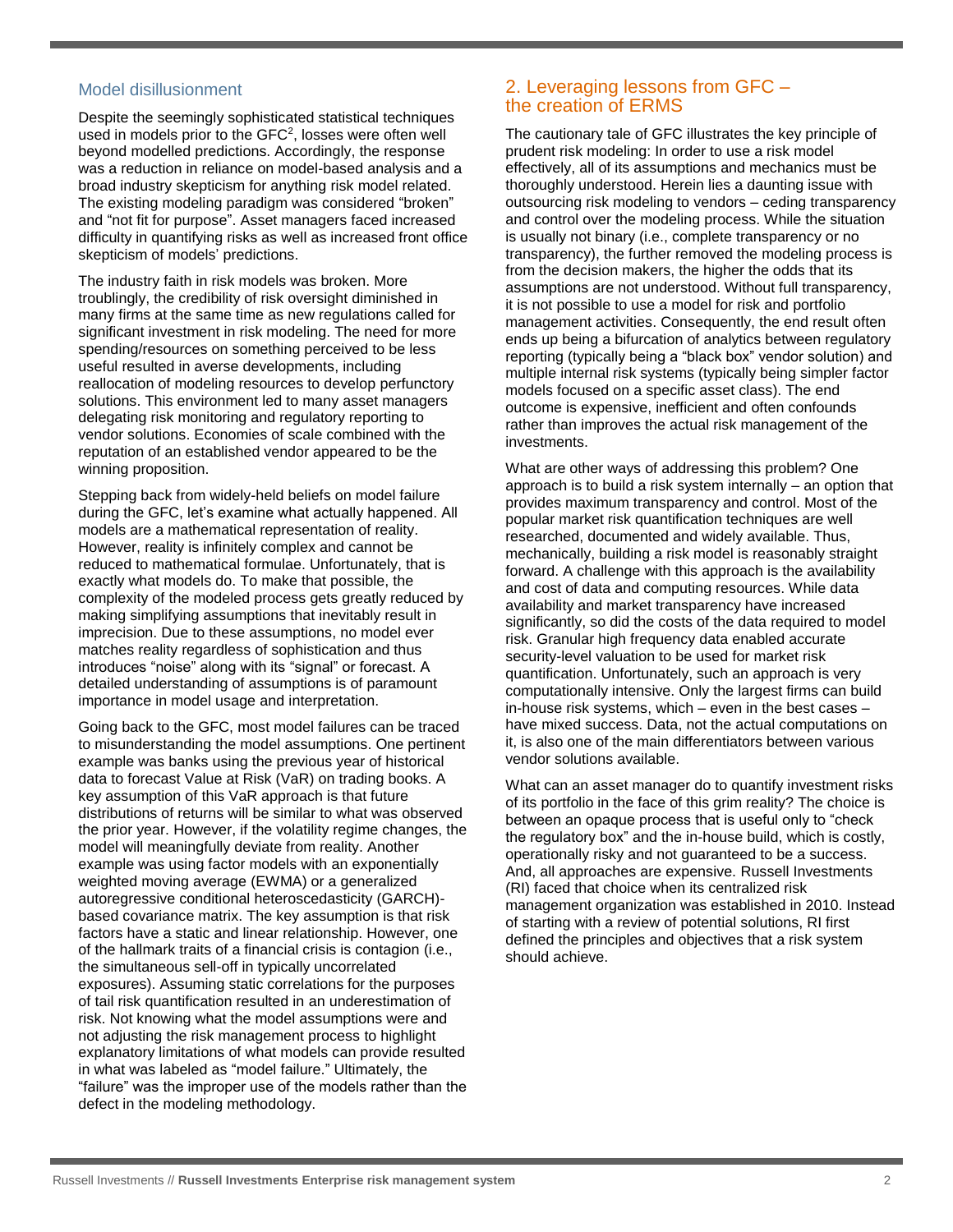### Model disillusionment

Despite the seemingly sophisticated statistical techniques used in models prior to the  $GFC<sup>2</sup>$ , losses were often well beyond modelled predictions. Accordingly, the response was a reduction in reliance on model-based analysis and a broad industry skepticism for anything risk model related. The existing modeling paradigm was considered "broken" and "not fit for purpose". Asset managers faced increased difficulty in quantifying risks as well as increased front office skepticism of models' predictions.

The industry faith in risk models was broken. More troublingly, the credibility of risk oversight diminished in many firms at the same time as new regulations called for significant investment in risk modeling. The need for more spending/resources on something perceived to be less useful resulted in averse developments, including reallocation of modeling resources to develop perfunctory solutions. This environment led to many asset managers delegating risk monitoring and regulatory reporting to vendor solutions. Economies of scale combined with the reputation of an established vendor appeared to be the winning proposition.

Stepping back from widely-held beliefs on model failure during the GFC, let's examine what actually happened. All models are a mathematical representation of reality. However, reality is infinitely complex and cannot be reduced to mathematical formulae. Unfortunately, that is exactly what models do. To make that possible, the complexity of the modeled process gets greatly reduced by making simplifying assumptions that inevitably result in imprecision. Due to these assumptions, no model ever matches reality regardless of sophistication and thus introduces "noise" along with its "signal" or forecast. A detailed understanding of assumptions is of paramount importance in model usage and interpretation.

Going back to the GFC, most model failures can be traced to misunderstanding the model assumptions. One pertinent example was banks using the previous year of historical data to forecast Value at Risk (VaR) on trading books. A key assumption of this VaR approach is that future distributions of returns will be similar to what was observed the prior year. However, if the volatility regime changes, the model will meaningfully deviate from reality. Another example was using factor models with an exponentially weighted moving average (EWMA) or a generalized autoregressive conditional heteroscedasticity (GARCH) based covariance matrix. The key assumption is that risk factors have a static and linear relationship. However, one of the hallmark traits of a financial crisis is contagion (i.e., the simultaneous sell-off in typically uncorrelated exposures). Assuming static correlations for the purposes of tail risk quantification resulted in an underestimation of risk. Not knowing what the model assumptions were and not adjusting the risk management process to highlight explanatory limitations of what models can provide resulted in what was labeled as "model failure." Ultimately, the "failure" was the improper use of the models rather than the defect in the modeling methodology.

# 2. Leveraging lessons from GFC – the creation of ERMS

The cautionary tale of GFC illustrates the key principle of prudent risk modeling: In order to use a risk model effectively, all of its assumptions and mechanics must be thoroughly understood. Herein lies a daunting issue with outsourcing risk modeling to vendors – ceding transparency and control over the modeling process. While the situation is usually not binary (i.e., complete transparency or no transparency), the further removed the modeling process is from the decision makers, the higher the odds that its assumptions are not understood. Without full transparency, it is not possible to use a model for risk and portfolio management activities. Consequently, the end result often ends up being a bifurcation of analytics between regulatory reporting (typically being a "black box" vendor solution) and multiple internal risk systems (typically being simpler factor models focused on a specific asset class). The end outcome is expensive, inefficient and often confounds rather than improves the actual risk management of the investments.

What are other ways of addressing this problem? One approach is to build a risk system internally – an option that provides maximum transparency and control. Most of the popular market risk quantification techniques are well researched, documented and widely available. Thus, mechanically, building a risk model is reasonably straight forward. A challenge with this approach is the availability and cost of data and computing resources. While data availability and market transparency have increased significantly, so did the costs of the data required to model risk. Granular high frequency data enabled accurate security-level valuation to be used for market risk quantification. Unfortunately, such an approach is very computationally intensive. Only the largest firms can build in-house risk systems, which – even in the best cases – have mixed success. Data, not the actual computations on it, is also one of the main differentiators between various vendor solutions available.

What can an asset manager do to quantify investment risks of its portfolio in the face of this grim reality? The choice is between an opaque process that is useful only to "check the regulatory box" and the in-house build, which is costly, operationally risky and not guaranteed to be a success. And, all approaches are expensive. Russell Investments (RI) faced that choice when its centralized risk management organization was established in 2010. Instead of starting with a review of potential solutions, RI first defined the principles and objectives that a risk system should achieve.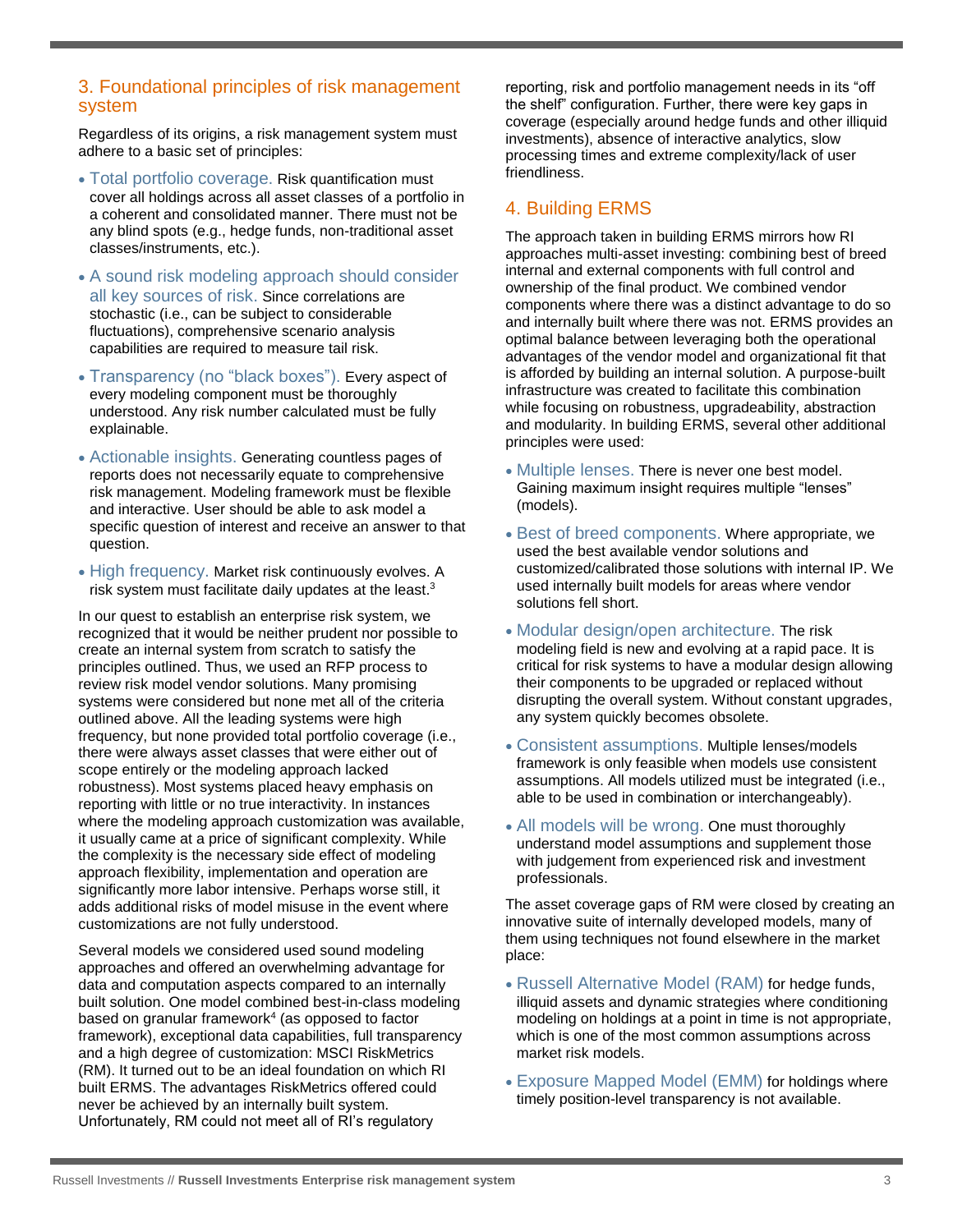## 3. Foundational principles of risk management system

Regardless of its origins, a risk management system must adhere to a basic set of principles:

- Total portfolio coverage. Risk quantification must cover all holdings across all asset classes of a portfolio in a coherent and consolidated manner. There must not be any blind spots (e.g., hedge funds, non-traditional asset classes/instruments, etc.).
- A sound risk modeling approach should consider all key sources of risk. Since correlations are stochastic (i.e., can be subject to considerable fluctuations), comprehensive scenario analysis capabilities are required to measure tail risk.
- Transparency (no "black boxes"). Every aspect of every modeling component must be thoroughly understood. Any risk number calculated must be fully explainable.
- Actionable insights. Generating countless pages of reports does not necessarily equate to comprehensive risk management. Modeling framework must be flexible and interactive. User should be able to ask model a specific question of interest and receive an answer to that question.
- High frequency. Market risk continuously evolves. A risk system must facilitate daily updates at the least.<sup>3</sup>

In our quest to establish an enterprise risk system, we recognized that it would be neither prudent nor possible to create an internal system from scratch to satisfy the principles outlined. Thus, we used an RFP process to review risk model vendor solutions. Many promising systems were considered but none met all of the criteria outlined above. All the leading systems were high frequency, but none provided total portfolio coverage (i.e., there were always asset classes that were either out of scope entirely or the modeling approach lacked robustness). Most systems placed heavy emphasis on reporting with little or no true interactivity. In instances where the modeling approach customization was available, it usually came at a price of significant complexity. While the complexity is the necessary side effect of modeling approach flexibility, implementation and operation are significantly more labor intensive. Perhaps worse still, it adds additional risks of model misuse in the event where customizations are not fully understood.

Several models we considered used sound modeling approaches and offered an overwhelming advantage for data and computation aspects compared to an internally built solution. One model combined best-in-class modeling based on granular framework<sup>4</sup> (as opposed to factor framework), exceptional data capabilities, full transparency and a high degree of customization: MSCI RiskMetrics (RM). It turned out to be an ideal foundation on which RI built ERMS. The advantages RiskMetrics offered could never be achieved by an internally built system. Unfortunately, RM could not meet all of RI's regulatory

reporting, risk and portfolio management needs in its "off the shelf" configuration. Further, there were key gaps in coverage (especially around hedge funds and other illiquid investments), absence of interactive analytics, slow processing times and extreme complexity/lack of user friendliness.

# 4. Building ERMS

The approach taken in building ERMS mirrors how RI approaches multi-asset investing: combining best of breed internal and external components with full control and ownership of the final product. We combined vendor components where there was a distinct advantage to do so and internally built where there was not. ERMS provides an optimal balance between leveraging both the operational advantages of the vendor model and organizational fit that is afforded by building an internal solution. A purpose-built infrastructure was created to facilitate this combination while focusing on robustness, upgradeability, abstraction and modularity. In building ERMS, several other additional principles were used:

- Multiple lenses. There is never one best model. Gaining maximum insight requires multiple "lenses" (models).
- Best of breed components. Where appropriate, we used the best available vendor solutions and customized/calibrated those solutions with internal IP. We used internally built models for areas where vendor solutions fell short.
- Modular design/open architecture. The risk modeling field is new and evolving at a rapid pace. It is critical for risk systems to have a modular design allowing their components to be upgraded or replaced without disrupting the overall system. Without constant upgrades, any system quickly becomes obsolete.
- Consistent assumptions. Multiple lenses/models framework is only feasible when models use consistent assumptions. All models utilized must be integrated (i.e., able to be used in combination or interchangeably).
- All models will be wrong. One must thoroughly understand model assumptions and supplement those with judgement from experienced risk and investment professionals.

The asset coverage gaps of RM were closed by creating an innovative suite of internally developed models, many of them using techniques not found elsewhere in the market place:

- Russell Alternative Model (RAM) for hedge funds, illiquid assets and dynamic strategies where conditioning modeling on holdings at a point in time is not appropriate, which is one of the most common assumptions across market risk models.
- Exposure Mapped Model (EMM) for holdings where timely position-level transparency is not available.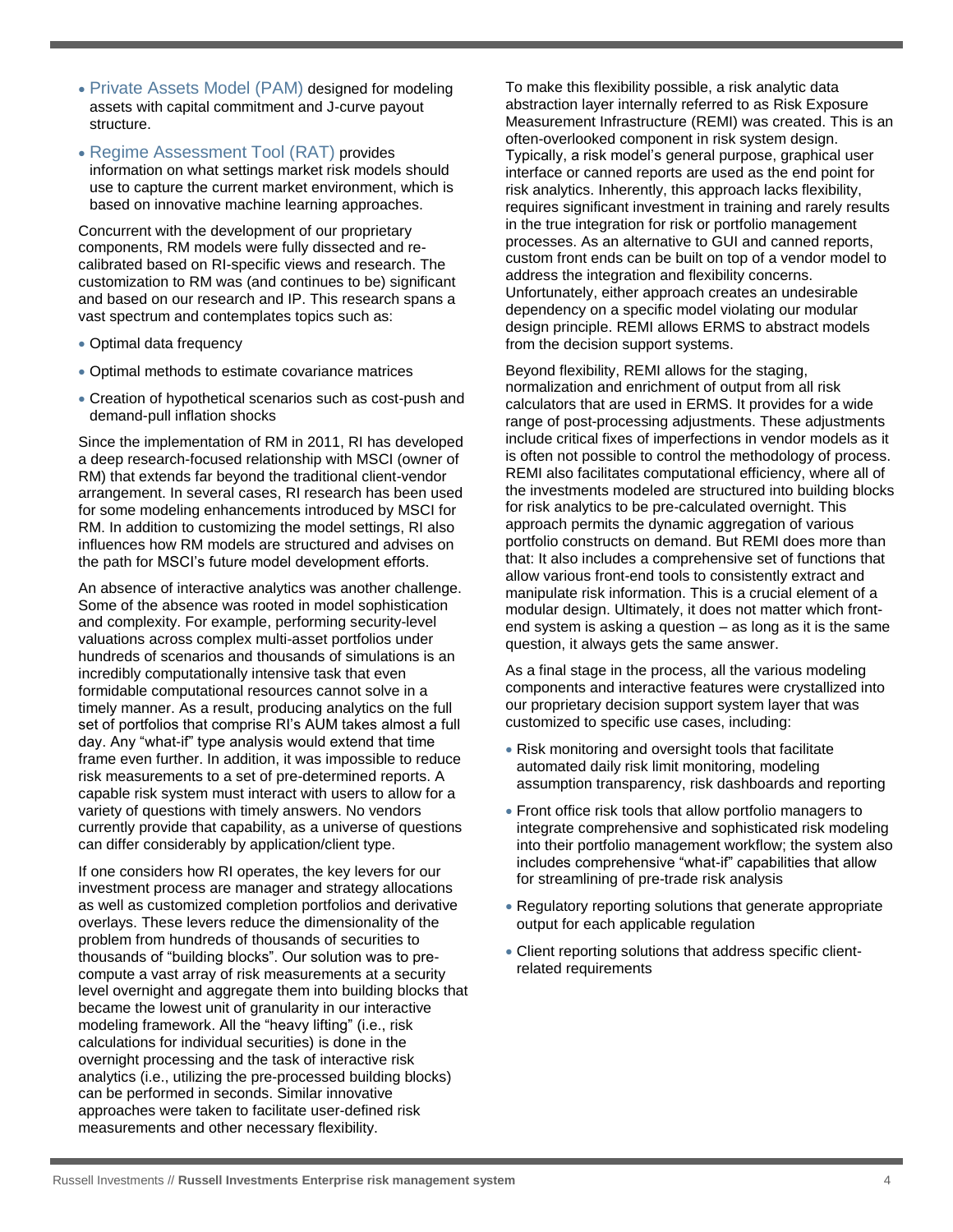- Private Assets Model (PAM) designed for modeling assets with capital commitment and J-curve payout structure.
- Regime Assessment Tool (RAT) provides information on what settings market risk models should use to capture the current market environment, which is based on innovative machine learning approaches.

Concurrent with the development of our proprietary components, RM models were fully dissected and recalibrated based on RI-specific views and research. The customization to RM was (and continues to be) significant and based on our research and IP. This research spans a vast spectrum and contemplates topics such as:

- Optimal data frequency
- Optimal methods to estimate covariance matrices
- Creation of hypothetical scenarios such as cost-push and demand-pull inflation shocks

Since the implementation of RM in 2011, RI has developed a deep research-focused relationship with MSCI (owner of RM) that extends far beyond the traditional client-vendor arrangement. In several cases, RI research has been used for some modeling enhancements introduced by MSCI for RM. In addition to customizing the model settings, RI also influences how RM models are structured and advises on the path for MSCI's future model development efforts.

An absence of interactive analytics was another challenge. Some of the absence was rooted in model sophistication and complexity. For example, performing security-level valuations across complex multi-asset portfolios under hundreds of scenarios and thousands of simulations is an incredibly computationally intensive task that even formidable computational resources cannot solve in a timely manner. As a result, producing analytics on the full set of portfolios that comprise RI's AUM takes almost a full day. Any "what-if" type analysis would extend that time frame even further. In addition, it was impossible to reduce risk measurements to a set of pre-determined reports. A capable risk system must interact with users to allow for a variety of questions with timely answers. No vendors currently provide that capability, as a universe of questions can differ considerably by application/client type.

If one considers how RI operates, the key levers for our investment process are manager and strategy allocations as well as customized completion portfolios and derivative overlays. These levers reduce the dimensionality of the problem from hundreds of thousands of securities to thousands of "building blocks". Our solution was to precompute a vast array of risk measurements at a security level overnight and aggregate them into building blocks that became the lowest unit of granularity in our interactive modeling framework. All the "heavy lifting" (i.e., risk calculations for individual securities) is done in the overnight processing and the task of interactive risk analytics (i.e., utilizing the pre-processed building blocks) can be performed in seconds. Similar innovative approaches were taken to facilitate user-defined risk measurements and other necessary flexibility.

To make this flexibility possible, a risk analytic data abstraction layer internally referred to as Risk Exposure Measurement Infrastructure (REMI) was created. This is an often-overlooked component in risk system design. Typically, a risk model's general purpose, graphical user interface or canned reports are used as the end point for risk analytics. Inherently, this approach lacks flexibility, requires significant investment in training and rarely results in the true integration for risk or portfolio management processes. As an alternative to GUI and canned reports, custom front ends can be built on top of a vendor model to address the integration and flexibility concerns. Unfortunately, either approach creates an undesirable dependency on a specific model violating our modular design principle. REMI allows ERMS to abstract models from the decision support systems.

Beyond flexibility, REMI allows for the staging, normalization and enrichment of output from all risk calculators that are used in ERMS. It provides for a wide range of post-processing adjustments. These adjustments include critical fixes of imperfections in vendor models as it is often not possible to control the methodology of process. REMI also facilitates computational efficiency, where all of the investments modeled are structured into building blocks for risk analytics to be pre-calculated overnight. This approach permits the dynamic aggregation of various portfolio constructs on demand. But REMI does more than that: It also includes a comprehensive set of functions that allow various front-end tools to consistently extract and manipulate risk information. This is a crucial element of a modular design. Ultimately, it does not matter which frontend system is asking a question – as long as it is the same question, it always gets the same answer.

As a final stage in the process, all the various modeling components and interactive features were crystallized into our proprietary decision support system layer that was customized to specific use cases, including:

- Risk monitoring and oversight tools that facilitate automated daily risk limit monitoring, modeling assumption transparency, risk dashboards and reporting
- Front office risk tools that allow portfolio managers to integrate comprehensive and sophisticated risk modeling into their portfolio management workflow; the system also includes comprehensive "what-if" capabilities that allow for streamlining of pre-trade risk analysis
- Regulatory reporting solutions that generate appropriate output for each applicable regulation
- Client reporting solutions that address specific clientrelated requirements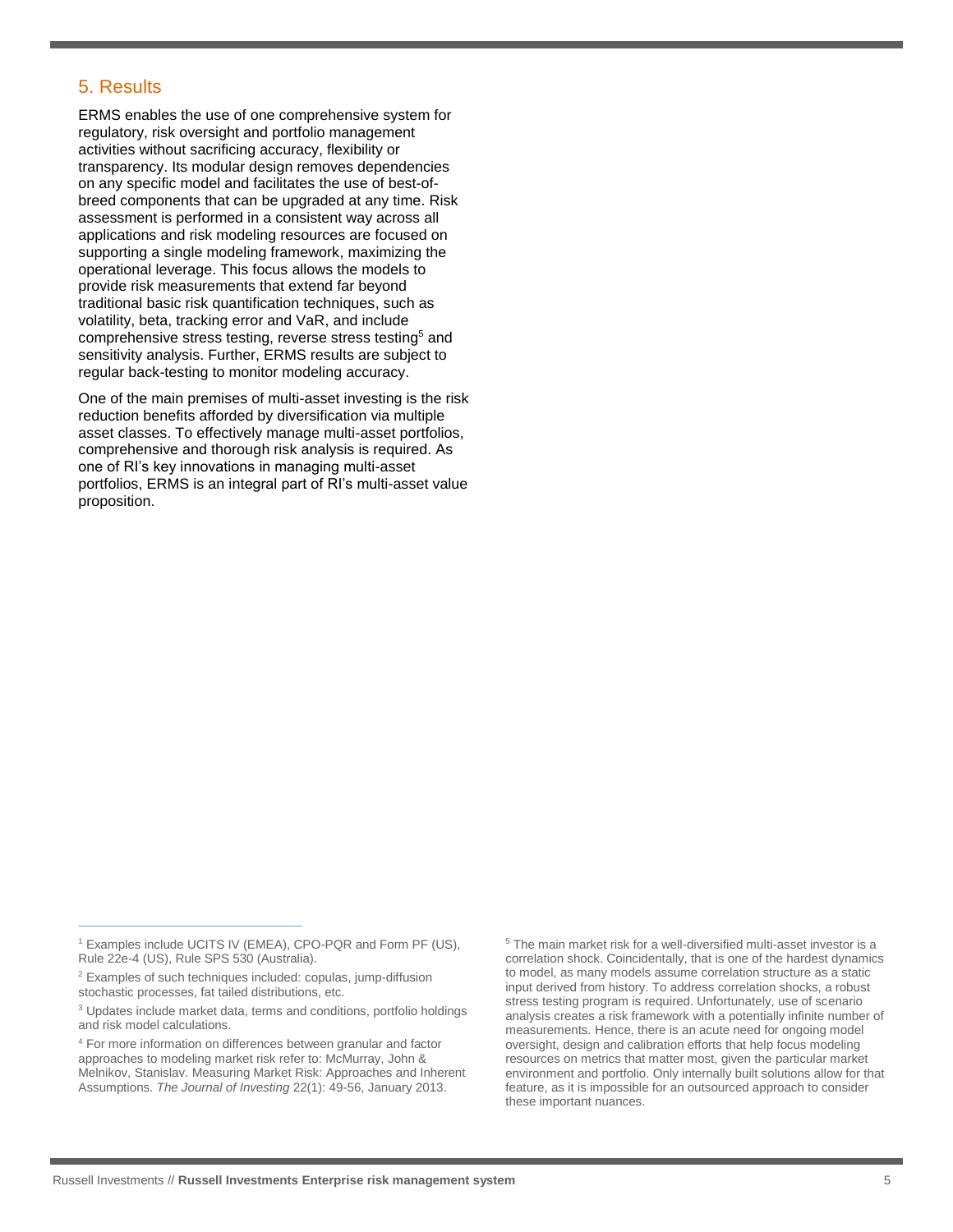# 5. Results

ERMS enables the use of one comprehensive system for regulatory, risk oversight and portfolio management activities without sacrificing accuracy, flexibility or transparency. Its modular design removes dependencies on any specific model and facilitates the use of best-ofbreed components that can be upgraded at any time. Risk assessment is performed in a consistent way across all applications and risk modeling resources are focused on supporting a single modeling framework, maximizing the operational leverage. This focus allows the models to provide risk measurements that extend far beyond traditional basic risk quantification techniques, such as volatility, beta, tracking error and VaR, and include comprehensive stress testing, reverse stress testing<sup>5</sup> and sensitivity analysis. Further, ERMS results are subject to regular back-testing to monitor modeling accuracy.

One of the main premises of multi-asset investing is the risk reduction benefits afforded by diversification via multiple asset classes. To effectively manage multi-asset portfolios, comprehensive and thorough risk analysis is required. As one of RI's key innovations in managing multi-asset portfolios, ERMS is an integral part of RI's multi-asset value proposition.

 $\overline{a}$ 

<sup>5</sup> The main market risk for a well-diversified multi-asset investor is a correlation shock. Coincidentally, that is one of the hardest dynamics to model, as many models assume correlation structure as a static input derived from history. To address correlation shocks, a robust stress testing program is required. Unfortunately, use of scenario analysis creates a risk framework with a potentially infinite number of measurements. Hence, there is an acute need for ongoing model oversight, design and calibration efforts that help focus modeling resources on metrics that matter most, given the particular market environment and portfolio. Only internally built solutions allow for that feature, as it is impossible for an outsourced approach to consider these important nuances.

<sup>1</sup> Examples include UCITS IV (EMEA), CPO-PQR and Form PF (US), Rule 22e-4 (US), Rule SPS 530 (Australia).

<sup>2</sup> Examples of such techniques included: copulas, jump-diffusion stochastic processes, fat tailed distributions, etc.

<sup>&</sup>lt;sup>3</sup> Updates include market data, terms and conditions, portfolio holdings and risk model calculations.

<sup>4</sup> For more information on differences between granular and factor approaches to modeling market risk refer to: McMurray, John & Melnikov, Stanislav. Measuring Market Risk: Approaches and Inherent Assumptions. *The Journal of Investing* 22(1): 49-56, January 2013.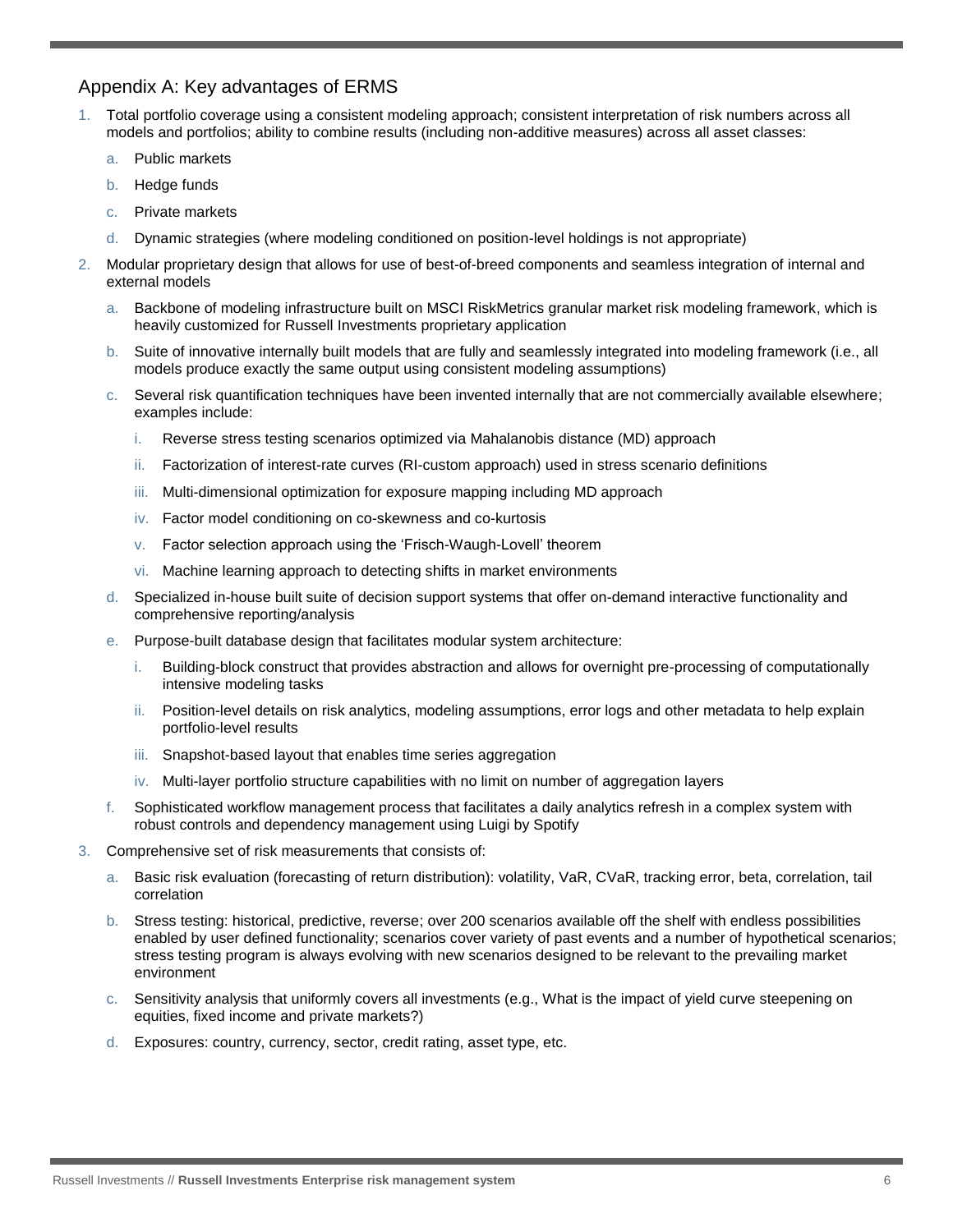# Appendix A: Key advantages of ERMS

- 1. Total portfolio coverage using a consistent modeling approach; consistent interpretation of risk numbers across all models and portfolios; ability to combine results (including non-additive measures) across all asset classes:
	- a. Public markets
	- b. Hedge funds
	- c. Private markets
	- d. Dynamic strategies (where modeling conditioned on position-level holdings is not appropriate)
- 2. Modular proprietary design that allows for use of best-of-breed components and seamless integration of internal and external models
	- a. Backbone of modeling infrastructure built on MSCI RiskMetrics granular market risk modeling framework, which is heavily customized for Russell Investments proprietary application
	- b. Suite of innovative internally built models that are fully and seamlessly integrated into modeling framework (i.e., all models produce exactly the same output using consistent modeling assumptions)
	- c. Several risk quantification techniques have been invented internally that are not commercially available elsewhere; examples include:
		- i. Reverse stress testing scenarios optimized via Mahalanobis distance (MD) approach
		- ii. Factorization of interest-rate curves (RI-custom approach) used in stress scenario definitions
		- iii. Multi-dimensional optimization for exposure mapping including MD approach
		- iv. Factor model conditioning on co-skewness and co-kurtosis
		- v. Factor selection approach using the 'Frisch-Waugh-Lovell' theorem
		- vi. Machine learning approach to detecting shifts in market environments
	- d. Specialized in-house built suite of decision support systems that offer on-demand interactive functionality and comprehensive reporting/analysis
	- e. Purpose-built database design that facilitates modular system architecture:
		- i. Building-block construct that provides abstraction and allows for overnight pre-processing of computationally intensive modeling tasks
		- ii. Position-level details on risk analytics, modeling assumptions, error logs and other metadata to help explain portfolio-level results
		- iii. Snapshot-based layout that enables time series aggregation
		- iv. Multi-layer portfolio structure capabilities with no limit on number of aggregation layers
	- f. Sophisticated workflow management process that facilitates a daily analytics refresh in a complex system with robust controls and dependency management using Luigi by Spotify
- 3. Comprehensive set of risk measurements that consists of:
	- a. Basic risk evaluation (forecasting of return distribution): volatility, VaR, CVaR, tracking error, beta, correlation, tail correlation
	- b. Stress testing: historical, predictive, reverse; over 200 scenarios available off the shelf with endless possibilities enabled by user defined functionality; scenarios cover variety of past events and a number of hypothetical scenarios; stress testing program is always evolving with new scenarios designed to be relevant to the prevailing market environment
	- c. Sensitivity analysis that uniformly covers all investments (e.g., What is the impact of yield curve steepening on equities, fixed income and private markets?)
	- d. Exposures: country, currency, sector, credit rating, asset type, etc.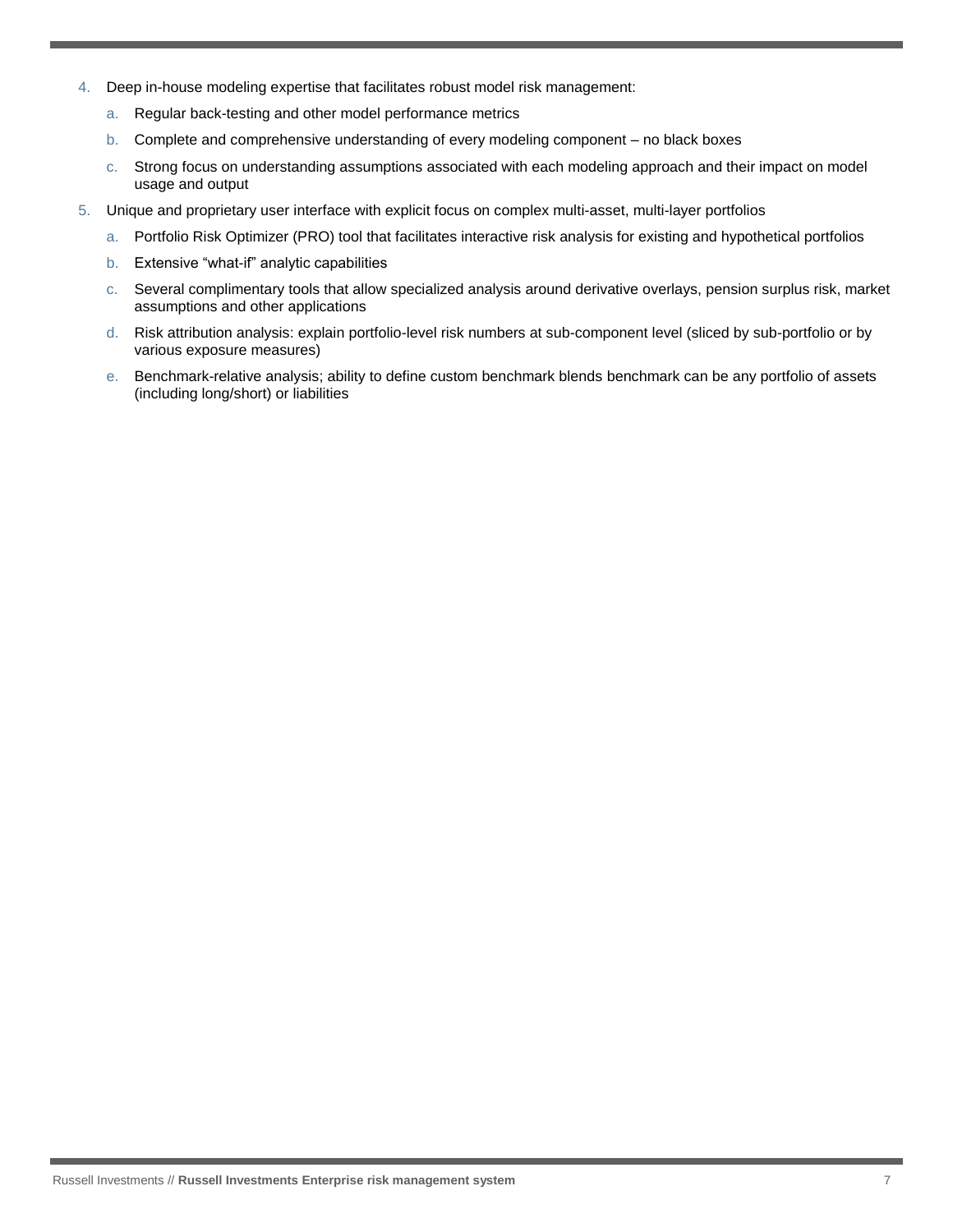- 4. Deep in-house modeling expertise that facilitates robust model risk management:
	- a. Regular back-testing and other model performance metrics
	- b. Complete and comprehensive understanding of every modeling component no black boxes
	- c. Strong focus on understanding assumptions associated with each modeling approach and their impact on model usage and output
- 5. Unique and proprietary user interface with explicit focus on complex multi-asset, multi-layer portfolios
	- a. Portfolio Risk Optimizer (PRO) tool that facilitates interactive risk analysis for existing and hypothetical portfolios
	- b. Extensive "what-if" analytic capabilities
	- c. Several complimentary tools that allow specialized analysis around derivative overlays, pension surplus risk, market assumptions and other applications
	- d. Risk attribution analysis: explain portfolio-level risk numbers at sub-component level (sliced by sub-portfolio or by various exposure measures)
	- e. Benchmark-relative analysis; ability to define custom benchmark blends benchmark can be any portfolio of assets (including long/short) or liabilities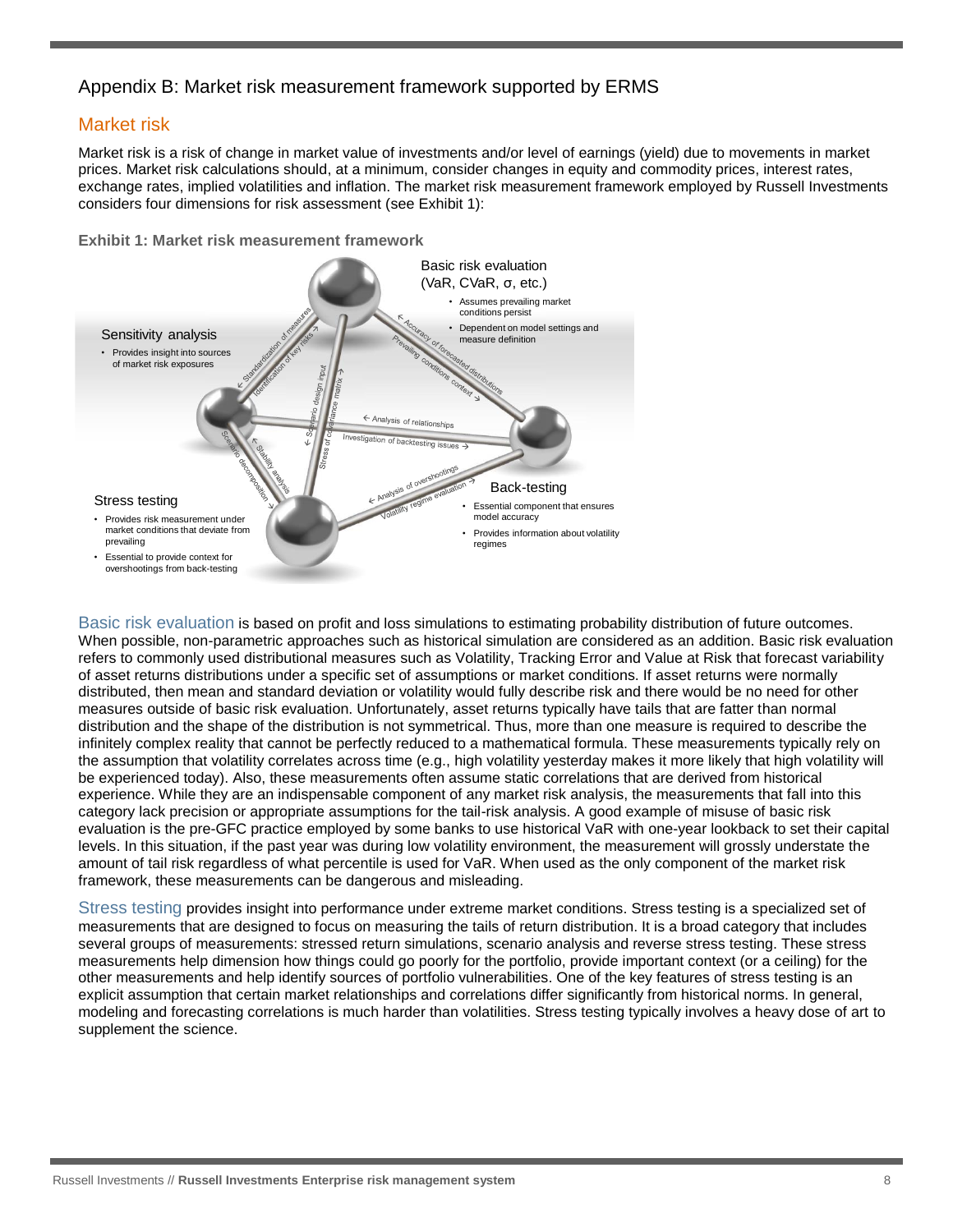# Appendix B: Market risk measurement framework supported by ERMS

# Market risk

Market risk is a risk of change in market value of investments and/or level of earnings (yield) due to movements in market prices. Market risk calculations should, at a minimum, consider changes in equity and commodity prices, interest rates, exchange rates, implied volatilities and inflation. The market risk measurement framework employed by Russell Investments considers four dimensions for risk assessment (see Exhibit 1):

**Exhibit 1: Market risk measurement framework**



Basic risk evaluation is based on profit and loss simulations to estimating probability distribution of future outcomes. When possible, non-parametric approaches such as historical simulation are considered as an addition. Basic risk evaluation refers to commonly used distributional measures such as Volatility, Tracking Error and Value at Risk that forecast variability of asset returns distributions under a specific set of assumptions or market conditions. If asset returns were normally distributed, then mean and standard deviation or volatility would fully describe risk and there would be no need for other measures outside of basic risk evaluation. Unfortunately, asset returns typically have tails that are fatter than normal distribution and the shape of the distribution is not symmetrical. Thus, more than one measure is required to describe the infinitely complex reality that cannot be perfectly reduced to a mathematical formula. These measurements typically rely on the assumption that volatility correlates across time (e.g., high volatility yesterday makes it more likely that high volatility will be experienced today). Also, these measurements often assume static correlations that are derived from historical experience. While they are an indispensable component of any market risk analysis, the measurements that fall into this category lack precision or appropriate assumptions for the tail-risk analysis. A good example of misuse of basic risk evaluation is the pre-GFC practice employed by some banks to use historical VaR with one-year lookback to set their capital levels. In this situation, if the past year was during low volatility environment, the measurement will grossly understate the amount of tail risk regardless of what percentile is used for VaR. When used as the only component of the market risk framework, these measurements can be dangerous and misleading.

Stress testing provides insight into performance under extreme market conditions. Stress testing is a specialized set of measurements that are designed to focus on measuring the tails of return distribution. It is a broad category that includes several groups of measurements: stressed return simulations, scenario analysis and reverse stress testing. These stress measurements help dimension how things could go poorly for the portfolio, provide important context (or a ceiling) for the other measurements and help identify sources of portfolio vulnerabilities. One of the key features of stress testing is an explicit assumption that certain market relationships and correlations differ significantly from historical norms. In general, modeling and forecasting correlations is much harder than volatilities. Stress testing typically involves a heavy dose of art to supplement the science.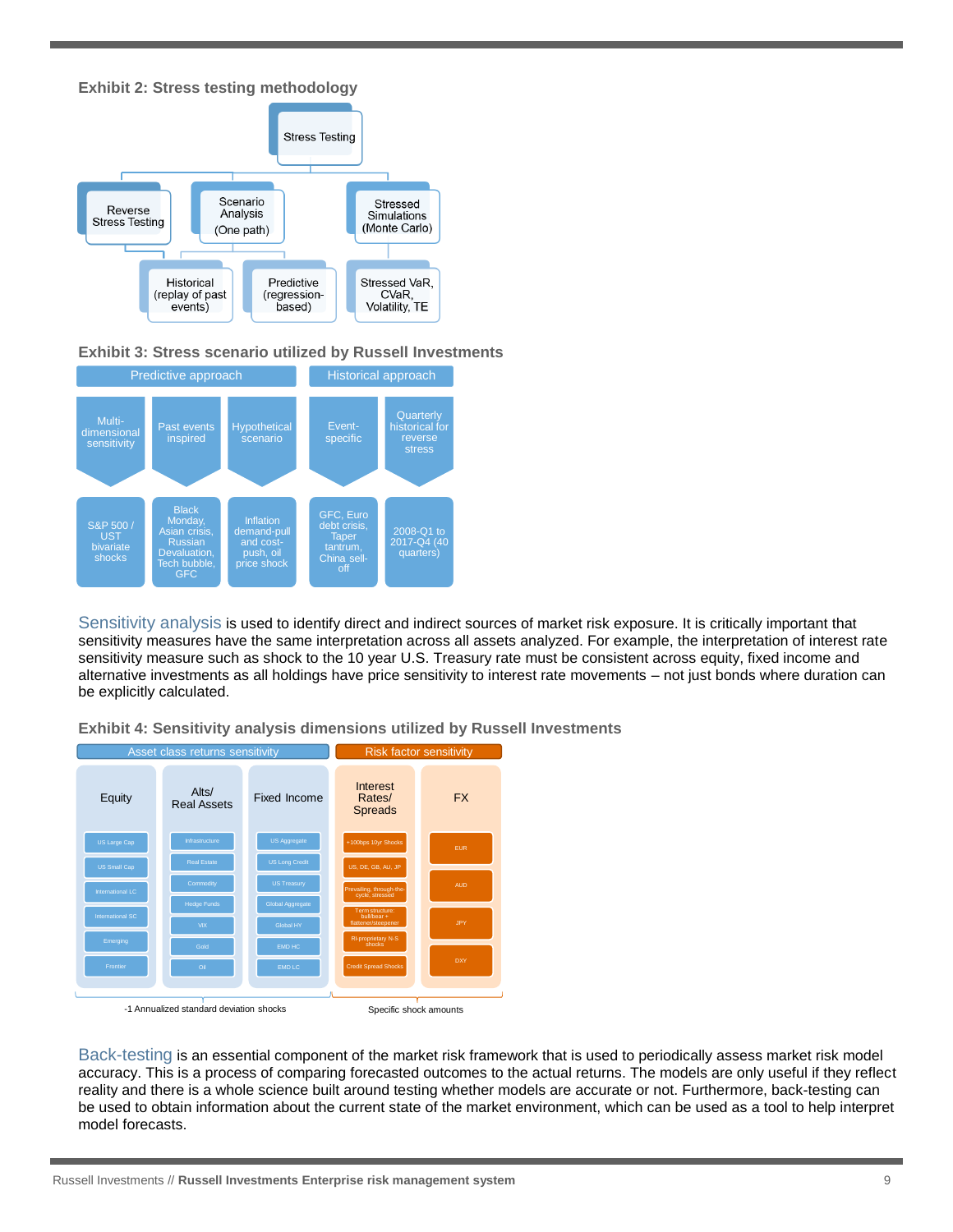



#### **Exhibit 3: Stress scenario utilized by Russell Investments**



Sensitivity analysis is used to identify direct and indirect sources of market risk exposure. It is critically important that sensitivity measures have the same interpretation across all assets analyzed. For example, the interpretation of interest rate sensitivity measure such as shock to the 10 year U.S. Treasury rate must be consistent across equity, fixed income and alternative investments as all holdings have price sensitivity to interest rate movements – not just bonds where duration can be explicitly calculated.

**Exhibit 4: Sensitivity analysis dimensions utilized by Russell Investments**



Back-testing is an essential component of the market risk framework that is used to periodically assess market risk model accuracy. This is a process of comparing forecasted outcomes to the actual returns. The models are only useful if they reflect reality and there is a whole science built around testing whether models are accurate or not. Furthermore, back-testing can be used to obtain information about the current state of the market environment, which can be used as a tool to help interpret